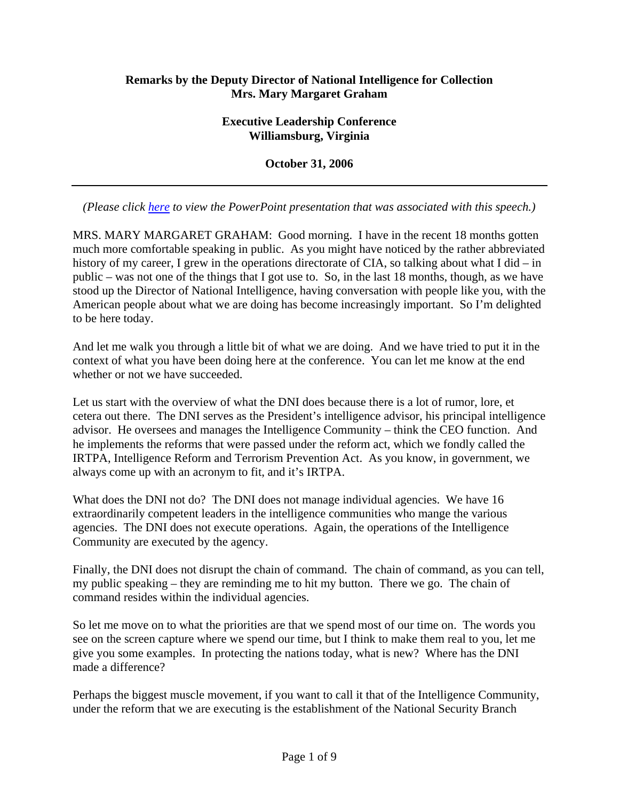## **Remarks by the Deputy Director of National Intelligence for Collection Mrs. Mary Margaret Graham**

#### **Executive Leadership Conference Williamsburg, Virginia**

**October 31, 2006** 

*(Please click here to view the PowerPoint presentation that was associated with this speech.)* 

MRS. MARY MARGARET GRAHAM: Good morning. I have in the recent 18 months gotten much more comfortable speaking in public. As you might have noticed by the rather abbreviated history of my career, I grew in the operations directorate of CIA, so talking about what I did – in public – was not one of the things that I got use to. So, in the last 18 months, though, as we have stood up the Director of National Intelligence, having conversation with people like you, with the American people about what we are doing has become increasingly important. So I'm delighted to be here today.

And let me walk you through a little bit of what we are doing. And we have tried to put it in the context of what you have been doing here at the conference. You can let me know at the end whether or not we have succeeded.

Let us start with the overview of what the DNI does because there is a lot of rumor, lore, et cetera out there. The DNI serves as the President's intelligence advisor, his principal intelligence advisor. He oversees and manages the Intelligence Community – think the CEO function. And he implements the reforms that were passed under the reform act, which we fondly called the IRTPA, Intelligence Reform and Terrorism Prevention Act. As you know, in government, we always come up with an acronym to fit, and it's IRTPA.

What does the DNI not do? The DNI does not manage individual agencies. We have 16 extraordinarily competent leaders in the intelligence communities who mange the various agencies. The DNI does not execute operations. Again, the operations of the Intelligence Community are executed by the agency.

Finally, the DNI does not disrupt the chain of command. The chain of command, as you can tell, my public speaking – they are reminding me to hit my button. There we go. The chain of command resides within the individual agencies.

So let me move on to what the priorities are that we spend most of our time on. The words you see on the screen capture where we spend our time, but I think to make them real to you, let me give you some examples. In protecting the nations today, what is new? Where has the DNI made a difference?

Perhaps the biggest muscle movement, if you want to call it that of the Intelligence Community, under the reform that we are executing is the establishment of the National Security Branch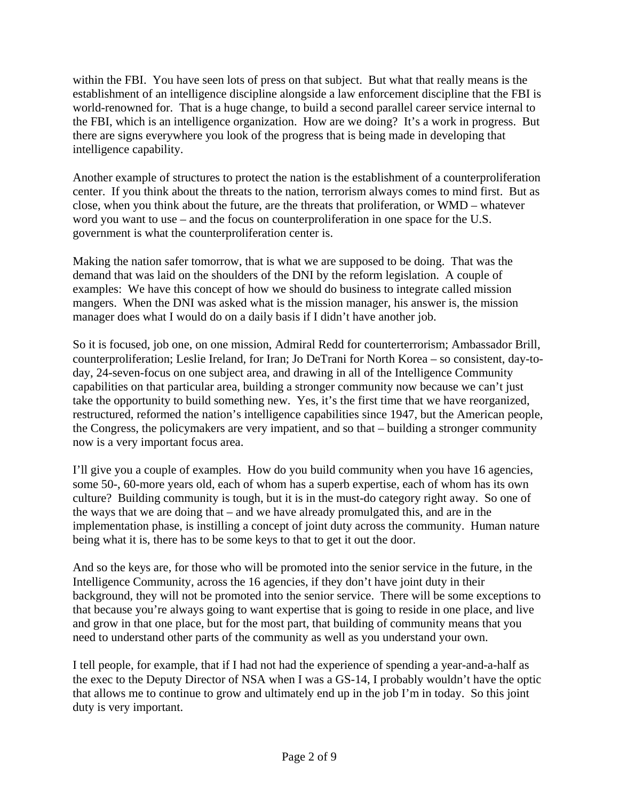within the FBI. You have seen lots of press on that subject. But what that really means is the establishment of an intelligence discipline alongside a law enforcement discipline that the FBI is world-renowned for. That is a huge change, to build a second parallel career service internal to the FBI, which is an intelligence organization. How are we doing? It's a work in progress. But there are signs everywhere you look of the progress that is being made in developing that intelligence capability.

Another example of structures to protect the nation is the establishment of a counterproliferation center. If you think about the threats to the nation, terrorism always comes to mind first. But as close, when you think about the future, are the threats that proliferation, or WMD – whatever word you want to use – and the focus on counterproliferation in one space for the U.S. government is what the counterproliferation center is.

Making the nation safer tomorrow, that is what we are supposed to be doing. That was the demand that was laid on the shoulders of the DNI by the reform legislation. A couple of examples: We have this concept of how we should do business to integrate called mission mangers. When the DNI was asked what is the mission manager, his answer is, the mission manager does what I would do on a daily basis if I didn't have another job.

So it is focused, job one, on one mission, Admiral Redd for counterterrorism; Ambassador Brill, counterproliferation; Leslie Ireland, for Iran; Jo DeTrani for North Korea – so consistent, day-today, 24-seven-focus on one subject area, and drawing in all of the Intelligence Community capabilities on that particular area, building a stronger community now because we can't just take the opportunity to build something new. Yes, it's the first time that we have reorganized, restructured, reformed the nation's intelligence capabilities since 1947, but the American people, the Congress, the policymakers are very impatient, and so that – building a stronger community now is a very important focus area.

I'll give you a couple of examples. How do you build community when you have 16 agencies, some 50-, 60-more years old, each of whom has a superb expertise, each of whom has its own culture? Building community is tough, but it is in the must-do category right away. So one of the ways that we are doing that – and we have already promulgated this, and are in the implementation phase, is instilling a concept of joint duty across the community. Human nature being what it is, there has to be some keys to that to get it out the door.

And so the keys are, for those who will be promoted into the senior service in the future, in the Intelligence Community, across the 16 agencies, if they don't have joint duty in their background, they will not be promoted into the senior service. There will be some exceptions to that because you're always going to want expertise that is going to reside in one place, and live and grow in that one place, but for the most part, that building of community means that you need to understand other parts of the community as well as you understand your own.

I tell people, for example, that if I had not had the experience of spending a year-and-a-half as the exec to the Deputy Director of NSA when I was a GS-14, I probably wouldn't have the optic that allows me to continue to grow and ultimately end up in the job I'm in today. So this joint duty is very important.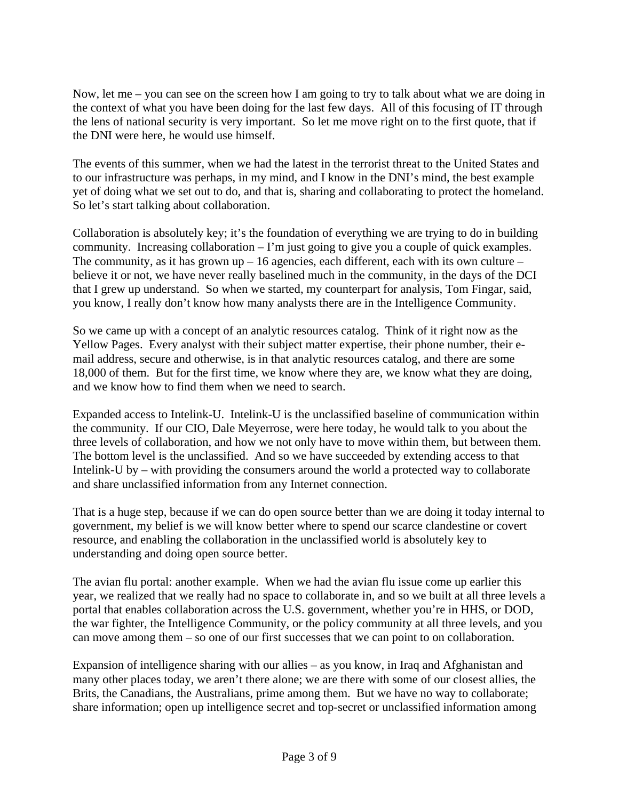Now, let me – you can see on the screen how I am going to try to talk about what we are doing in the context of what you have been doing for the last few days. All of this focusing of IT through the lens of national security is very important. So let me move right on to the first quote, that if the DNI were here, he would use himself.

The events of this summer, when we had the latest in the terrorist threat to the United States and to our infrastructure was perhaps, in my mind, and I know in the DNI's mind, the best example yet of doing what we set out to do, and that is, sharing and collaborating to protect the homeland. So let's start talking about collaboration.

Collaboration is absolutely key; it's the foundation of everything we are trying to do in building community. Increasing collaboration – I'm just going to give you a couple of quick examples. The community, as it has grown  $up - 16$  agencies, each different, each with its own culture – believe it or not, we have never really baselined much in the community, in the days of the DCI that I grew up understand. So when we started, my counterpart for analysis, Tom Fingar, said, you know, I really don't know how many analysts there are in the Intelligence Community.

So we came up with a concept of an analytic resources catalog. Think of it right now as the Yellow Pages. Every analyst with their subject matter expertise, their phone number, their email address, secure and otherwise, is in that analytic resources catalog, and there are some 18,000 of them. But for the first time, we know where they are, we know what they are doing, and we know how to find them when we need to search.

Expanded access to Intelink-U. Intelink-U is the unclassified baseline of communication within the community. If our CIO, Dale Meyerrose, were here today, he would talk to you about the three levels of collaboration, and how we not only have to move within them, but between them. The bottom level is the unclassified. And so we have succeeded by extending access to that Intelink-U by – with providing the consumers around the world a protected way to collaborate and share unclassified information from any Internet connection.

That is a huge step, because if we can do open source better than we are doing it today internal to government, my belief is we will know better where to spend our scarce clandestine or covert resource, and enabling the collaboration in the unclassified world is absolutely key to understanding and doing open source better.

The avian flu portal: another example. When we had the avian flu issue come up earlier this year, we realized that we really had no space to collaborate in, and so we built at all three levels a portal that enables collaboration across the U.S. government, whether you're in HHS, or DOD, the war fighter, the Intelligence Community, or the policy community at all three levels, and you can move among them – so one of our first successes that we can point to on collaboration.

Expansion of intelligence sharing with our allies – as you know, in Iraq and Afghanistan and many other places today, we aren't there alone; we are there with some of our closest allies, the Brits, the Canadians, the Australians, prime among them. But we have no way to collaborate; share information; open up intelligence secret and top-secret or unclassified information among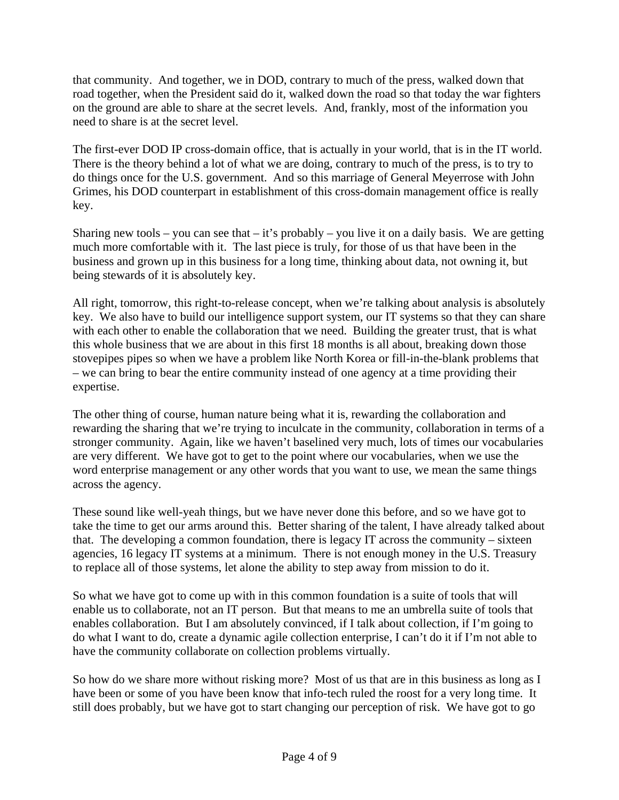that community. And together, we in DOD, contrary to much of the press, walked down that road together, when the President said do it, walked down the road so that today the war fighters on the ground are able to share at the secret levels. And, frankly, most of the information you need to share is at the secret level.

The first-ever DOD IP cross-domain office, that is actually in your world, that is in the IT world. There is the theory behind a lot of what we are doing, contrary to much of the press, is to try to do things once for the U.S. government. And so this marriage of General Meyerrose with John Grimes, his DOD counterpart in establishment of this cross-domain management office is really key.

Sharing new tools – you can see that – it's probably – you live it on a daily basis. We are getting much more comfortable with it. The last piece is truly, for those of us that have been in the business and grown up in this business for a long time, thinking about data, not owning it, but being stewards of it is absolutely key.

All right, tomorrow, this right-to-release concept, when we're talking about analysis is absolutely key. We also have to build our intelligence support system, our IT systems so that they can share with each other to enable the collaboration that we need. Building the greater trust, that is what this whole business that we are about in this first 18 months is all about, breaking down those stovepipes pipes so when we have a problem like North Korea or fill-in-the-blank problems that – we can bring to bear the entire community instead of one agency at a time providing their expertise.

The other thing of course, human nature being what it is, rewarding the collaboration and rewarding the sharing that we're trying to inculcate in the community, collaboration in terms of a stronger community. Again, like we haven't baselined very much, lots of times our vocabularies are very different. We have got to get to the point where our vocabularies, when we use the word enterprise management or any other words that you want to use, we mean the same things across the agency.

These sound like well-yeah things, but we have never done this before, and so we have got to take the time to get our arms around this. Better sharing of the talent, I have already talked about that. The developing a common foundation, there is legacy IT across the community – sixteen agencies, 16 legacy IT systems at a minimum. There is not enough money in the U.S. Treasury to replace all of those systems, let alone the ability to step away from mission to do it.

So what we have got to come up with in this common foundation is a suite of tools that will enable us to collaborate, not an IT person. But that means to me an umbrella suite of tools that enables collaboration. But I am absolutely convinced, if I talk about collection, if I'm going to do what I want to do, create a dynamic agile collection enterprise, I can't do it if I'm not able to have the community collaborate on collection problems virtually.

So how do we share more without risking more? Most of us that are in this business as long as I have been or some of you have been know that info-tech ruled the roost for a very long time. It still does probably, but we have got to start changing our perception of risk. We have got to go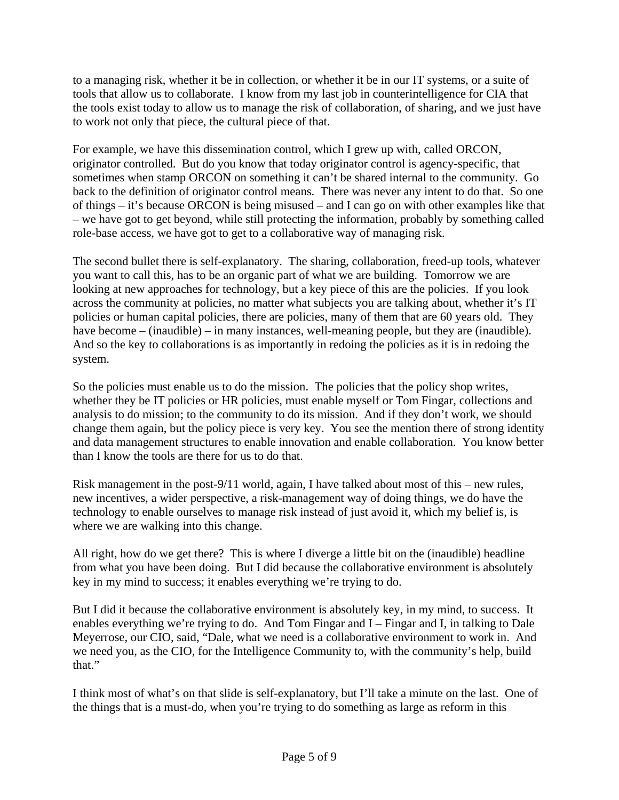to a managing risk, whether it be in collection, or whether it be in our IT systems, or a suite of tools that allow us to collaborate. I know from my last job in counterintelligence for CIA that the tools exist today to allow us to manage the risk of collaboration, of sharing, and we just have to work not only that piece, the cultural piece of that.

For example, we have this dissemination control, which I grew up with, called ORCON, originator controlled. But do you know that today originator control is agency-specific, that sometimes when stamp ORCON on something it can't be shared internal to the community. Go back to the definition of originator control means. There was never any intent to do that. So one of things – it's because ORCON is being misused – and I can go on with other examples like that – we have got to get beyond, while still protecting the information, probably by something called role-base access, we have got to get to a collaborative way of managing risk.

The second bullet there is self-explanatory. The sharing, collaboration, freed-up tools, whatever you want to call this, has to be an organic part of what we are building. Tomorrow we are looking at new approaches for technology, but a key piece of this are the policies. If you look across the community at policies, no matter what subjects you are talking about, whether it's IT policies or human capital policies, there are policies, many of them that are 60 years old. They have become – (inaudible) – in many instances, well-meaning people, but they are (inaudible). And so the key to collaborations is as importantly in redoing the policies as it is in redoing the system.

So the policies must enable us to do the mission. The policies that the policy shop writes, whether they be IT policies or HR policies, must enable myself or Tom Fingar, collections and analysis to do mission; to the community to do its mission. And if they don't work, we should change them again, but the policy piece is very key. You see the mention there of strong identity and data management structures to enable innovation and enable collaboration. You know better than I know the tools are there for us to do that.

Risk management in the post-9/11 world, again, I have talked about most of this – new rules, new incentives, a wider perspective, a risk-management way of doing things, we do have the technology to enable ourselves to manage risk instead of just avoid it, which my belief is, is where we are walking into this change.

All right, how do we get there? This is where I diverge a little bit on the (inaudible) headline from what you have been doing. But I did because the collaborative environment is absolutely key in my mind to success; it enables everything we're trying to do.

But I did it because the collaborative environment is absolutely key, in my mind, to success. It enables everything we're trying to do. And Tom Fingar and I – Fingar and I, in talking to Dale Meyerrose, our CIO, said, "Dale, what we need is a collaborative environment to work in. And we need you, as the CIO, for the Intelligence Community to, with the community's help, build that."

I think most of what's on that slide is self-explanatory, but I'll take a minute on the last. One of the things that is a must-do, when you're trying to do something as large as reform in this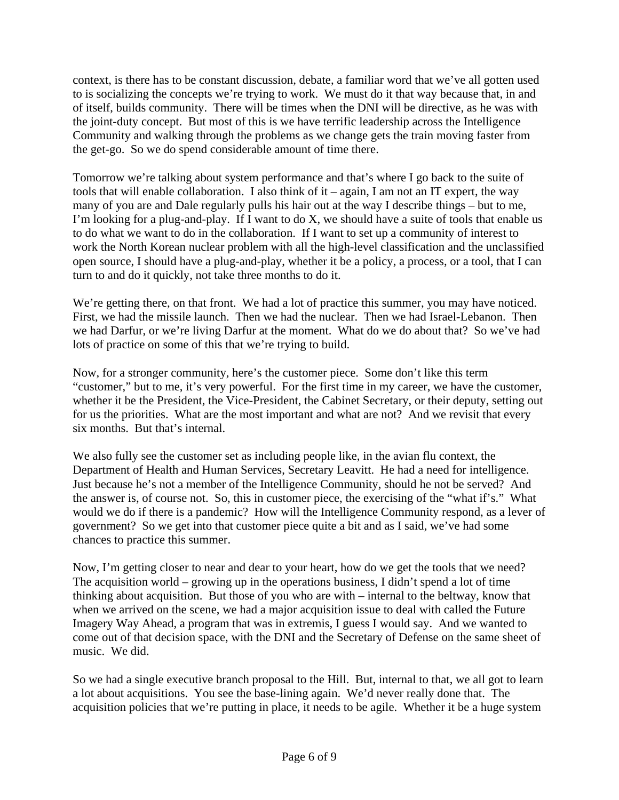context, is there has to be constant discussion, debate, a familiar word that we've all gotten used to is socializing the concepts we're trying to work. We must do it that way because that, in and of itself, builds community. There will be times when the DNI will be directive, as he was with the joint-duty concept. But most of this is we have terrific leadership across the Intelligence Community and walking through the problems as we change gets the train moving faster from the get-go. So we do spend considerable amount of time there.

Tomorrow we're talking about system performance and that's where I go back to the suite of tools that will enable collaboration. I also think of it – again, I am not an IT expert, the way many of you are and Dale regularly pulls his hair out at the way I describe things – but to me, I'm looking for a plug-and-play. If I want to do X, we should have a suite of tools that enable us to do what we want to do in the collaboration. If I want to set up a community of interest to work the North Korean nuclear problem with all the high-level classification and the unclassified open source, I should have a plug-and-play, whether it be a policy, a process, or a tool, that I can turn to and do it quickly, not take three months to do it.

We're getting there, on that front. We had a lot of practice this summer, you may have noticed. First, we had the missile launch. Then we had the nuclear. Then we had Israel-Lebanon. Then we had Darfur, or we're living Darfur at the moment. What do we do about that? So we've had lots of practice on some of this that we're trying to build.

Now, for a stronger community, here's the customer piece. Some don't like this term "customer," but to me, it's very powerful. For the first time in my career, we have the customer, whether it be the President, the Vice-President, the Cabinet Secretary, or their deputy, setting out for us the priorities. What are the most important and what are not? And we revisit that every six months. But that's internal.

We also fully see the customer set as including people like, in the avian flu context, the Department of Health and Human Services, Secretary Leavitt. He had a need for intelligence. Just because he's not a member of the Intelligence Community, should he not be served? And the answer is, of course not. So, this in customer piece, the exercising of the "what if's." What would we do if there is a pandemic? How will the Intelligence Community respond, as a lever of government? So we get into that customer piece quite a bit and as I said, we've had some chances to practice this summer.

Now, I'm getting closer to near and dear to your heart, how do we get the tools that we need? The acquisition world – growing up in the operations business, I didn't spend a lot of time thinking about acquisition. But those of you who are with – internal to the beltway, know that when we arrived on the scene, we had a major acquisition issue to deal with called the Future Imagery Way Ahead, a program that was in extremis, I guess I would say. And we wanted to come out of that decision space, with the DNI and the Secretary of Defense on the same sheet of music. We did.

So we had a single executive branch proposal to the Hill. But, internal to that, we all got to learn a lot about acquisitions. You see the base-lining again. We'd never really done that. The acquisition policies that we're putting in place, it needs to be agile. Whether it be a huge system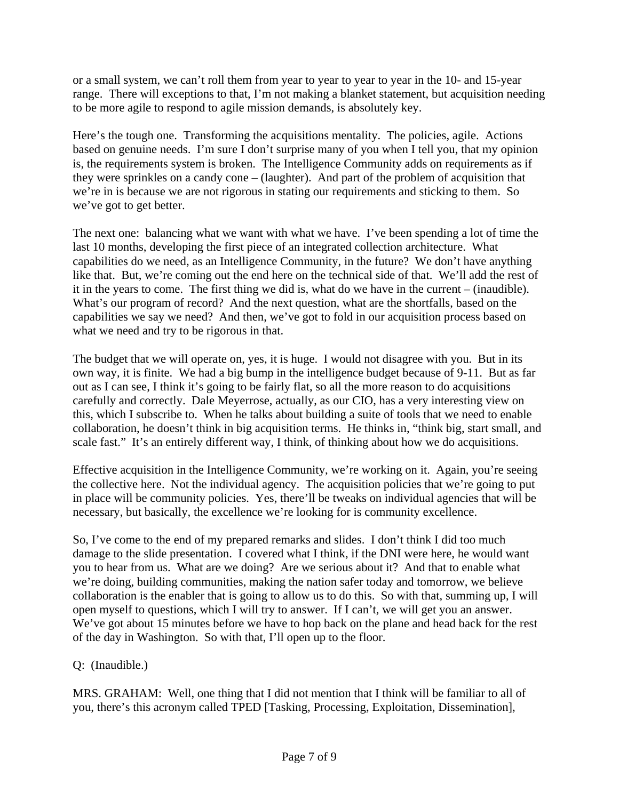or a small system, we can't roll them from year to year to year to year in the 10- and 15-year range. There will exceptions to that, I'm not making a blanket statement, but acquisition needing to be more agile to respond to agile mission demands, is absolutely key.

Here's the tough one. Transforming the acquisitions mentality. The policies, agile. Actions based on genuine needs. I'm sure I don't surprise many of you when I tell you, that my opinion is, the requirements system is broken. The Intelligence Community adds on requirements as if they were sprinkles on a candy cone – (laughter). And part of the problem of acquisition that we're in is because we are not rigorous in stating our requirements and sticking to them. So we've got to get better.

The next one: balancing what we want with what we have. I've been spending a lot of time the last 10 months, developing the first piece of an integrated collection architecture. What capabilities do we need, as an Intelligence Community, in the future? We don't have anything like that. But, we're coming out the end here on the technical side of that. We'll add the rest of it in the years to come. The first thing we did is, what do we have in the current – (inaudible). What's our program of record? And the next question, what are the shortfalls, based on the capabilities we say we need? And then, we've got to fold in our acquisition process based on what we need and try to be rigorous in that.

The budget that we will operate on, yes, it is huge. I would not disagree with you. But in its own way, it is finite. We had a big bump in the intelligence budget because of 9-11. But as far out as I can see, I think it's going to be fairly flat, so all the more reason to do acquisitions carefully and correctly. Dale Meyerrose, actually, as our CIO, has a very interesting view on this, which I subscribe to. When he talks about building a suite of tools that we need to enable collaboration, he doesn't think in big acquisition terms. He thinks in, "think big, start small, and scale fast." It's an entirely different way, I think, of thinking about how we do acquisitions.

Effective acquisition in the Intelligence Community, we're working on it. Again, you're seeing the collective here. Not the individual agency. The acquisition policies that we're going to put in place will be community policies. Yes, there'll be tweaks on individual agencies that will be necessary, but basically, the excellence we're looking for is community excellence.

So, I've come to the end of my prepared remarks and slides. I don't think I did too much damage to the slide presentation. I covered what I think, if the DNI were here, he would want you to hear from us. What are we doing? Are we serious about it? And that to enable what we're doing, building communities, making the nation safer today and tomorrow, we believe collaboration is the enabler that is going to allow us to do this. So with that, summing up, I will open myself to questions, which I will try to answer. If I can't, we will get you an answer. We've got about 15 minutes before we have to hop back on the plane and head back for the rest of the day in Washington. So with that, I'll open up to the floor.

## Q: (Inaudible.)

MRS. GRAHAM: Well, one thing that I did not mention that I think will be familiar to all of you, there's this acronym called TPED [Tasking, Processing, Exploitation, Dissemination],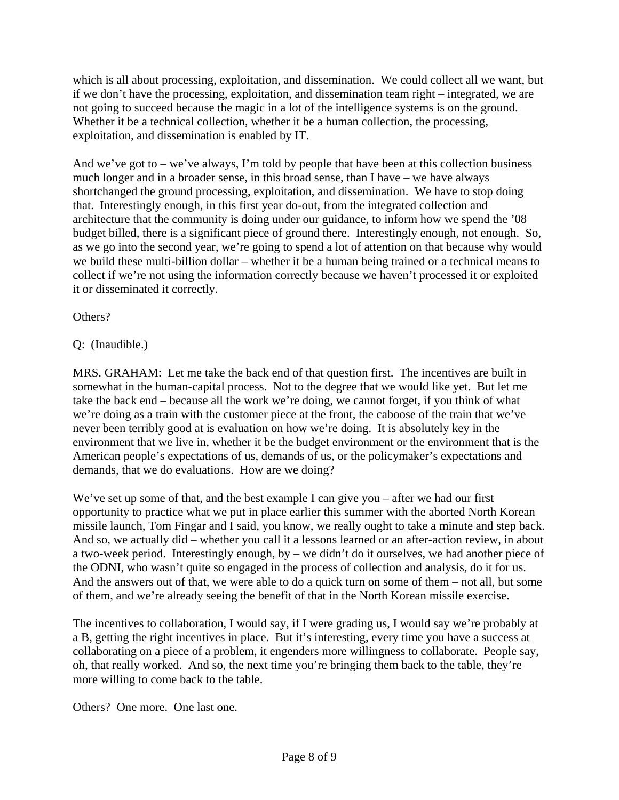which is all about processing, exploitation, and dissemination. We could collect all we want, but if we don't have the processing, exploitation, and dissemination team right – integrated, we are not going to succeed because the magic in a lot of the intelligence systems is on the ground. Whether it be a technical collection, whether it be a human collection, the processing, exploitation, and dissemination is enabled by IT.

And we've got to – we've always, I'm told by people that have been at this collection business much longer and in a broader sense, in this broad sense, than I have – we have always shortchanged the ground processing, exploitation, and dissemination. We have to stop doing that. Interestingly enough, in this first year do-out, from the integrated collection and architecture that the community is doing under our guidance, to inform how we spend the '08 budget billed, there is a significant piece of ground there. Interestingly enough, not enough. So, as we go into the second year, we're going to spend a lot of attention on that because why would we build these multi-billion dollar – whether it be a human being trained or a technical means to collect if we're not using the information correctly because we haven't processed it or exploited it or disseminated it correctly.

Others?

# Q: (Inaudible.)

MRS. GRAHAM: Let me take the back end of that question first. The incentives are built in somewhat in the human-capital process. Not to the degree that we would like yet. But let me take the back end – because all the work we're doing, we cannot forget, if you think of what we're doing as a train with the customer piece at the front, the caboose of the train that we've never been terribly good at is evaluation on how we're doing. It is absolutely key in the environment that we live in, whether it be the budget environment or the environment that is the American people's expectations of us, demands of us, or the policymaker's expectations and demands, that we do evaluations. How are we doing?

We've set up some of that, and the best example I can give you – after we had our first opportunity to practice what we put in place earlier this summer with the aborted North Korean missile launch, Tom Fingar and I said, you know, we really ought to take a minute and step back. And so, we actually did – whether you call it a lessons learned or an after-action review, in about a two-week period. Interestingly enough, by – we didn't do it ourselves, we had another piece of the ODNI, who wasn't quite so engaged in the process of collection and analysis, do it for us. And the answers out of that, we were able to do a quick turn on some of them – not all, but some of them, and we're already seeing the benefit of that in the North Korean missile exercise.

The incentives to collaboration, I would say, if I were grading us, I would say we're probably at a B, getting the right incentives in place. But it's interesting, every time you have a success at collaborating on a piece of a problem, it engenders more willingness to collaborate. People say, oh, that really worked. And so, the next time you're bringing them back to the table, they're more willing to come back to the table.

Others? One more. One last one.